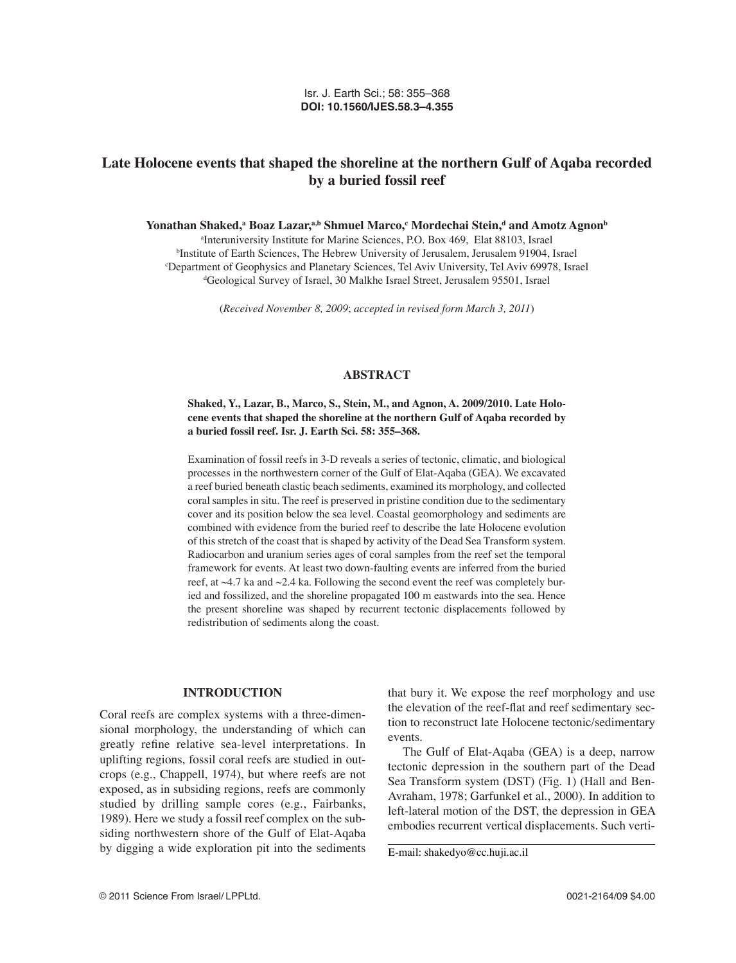# Isr. J. Earth Sci.; 58: 355–368 **DOI: 10.1560/IJES.58.3–4.355**

# **Late Holocene events that shaped the shoreline at the northern Gulf of Aqaba recorded by a buried fossil reef**

# $\bf Y$ onathan Shaked,ª Boaz Lazar,ª،b Shmuel Marco, $\bf{\hat{S}}$  Mordechai Stein,<sup>d</sup> and Amotz Agnon<sup>b</sup>

a Interuniversity Institute for Marine Sciences, P.O. Box 469, Elat 88103, Israel b Institute of Earth Sciences, The Hebrew University of Jerusalem, Jerusalem 91904, Israel c Department of Geophysics and Planetary Sciences, Tel Aviv University, Tel Aviv 69978, Israel d Geological Survey of Israel, 30 Malkhe Israel Street, Jerusalem 95501, Israel

(*Received November 8, 2009*; *accepted in revised form March 3, 2011*)

### **ABSTRACT**

## **Shaked, Y., Lazar, B., Marco, S., Stein, M., and Agnon, A. 2009/2010. Late Holocene events that shaped the shoreline at the northern Gulf of Aqaba recorded by a buried fossil reef. Isr. J. Earth Sci. 58: 355–368.**

Examination of fossil reefs in 3-D reveals a series of tectonic, climatic, and biological processes in the northwestern corner of the Gulf of Elat-Aqaba (GEA). We excavated a reef buried beneath clastic beach sediments, examined its morphology, and collected coral samples in situ. The reef is preserved in pristine condition due to the sedimentary cover and its position below the sea level. Coastal geomorphology and sediments are combined with evidence from the buried reef to describe the late Holocene evolution of this stretch of the coast that is shaped by activity of the Dead Sea Transform system. Radiocarbon and uranium series ages of coral samples from the reef set the temporal framework for events. At least two down-faulting events are inferred from the buried reef, at ~4.7 ka and ~2.4 ka. Following the second event the reef was completely buried and fossilized, and the shoreline propagated 100 m eastwards into the sea. Hence the present shoreline was shaped by recurrent tectonic displacements followed by redistribution of sediments along the coast.

# **INTRODUCTION**

Coral reefs are complex systems with a three-dimensional morphology, the understanding of which can greatly refine relative sea-level interpretations. In uplifting regions, fossil coral reefs are studied in outcrops (e.g., Chappell, 1974), but where reefs are not exposed, as in subsiding regions, reefs are commonly studied by drilling sample cores (e.g., Fairbanks, 1989). Here we study a fossil reef complex on the subsiding northwestern shore of the Gulf of Elat-Aqaba by digging a wide exploration pit into the sediments

that bury it. We expose the reef morphology and use the elevation of the reef-flat and reef sedimentary section to reconstruct late Holocene tectonic/sedimentary events.

The Gulf of Elat-Aqaba (GEA) is a deep, narrow tectonic depression in the southern part of the Dead Sea Transform system (DST) (Fig. 1) (Hall and Ben-Avraham, 1978; Garfunkel et al., 2000). In addition to left-lateral motion of the DST, the depression in GEA embodies recurrent vertical displacements. Such verti-

E-mail: shakedyo@cc.huji.ac.il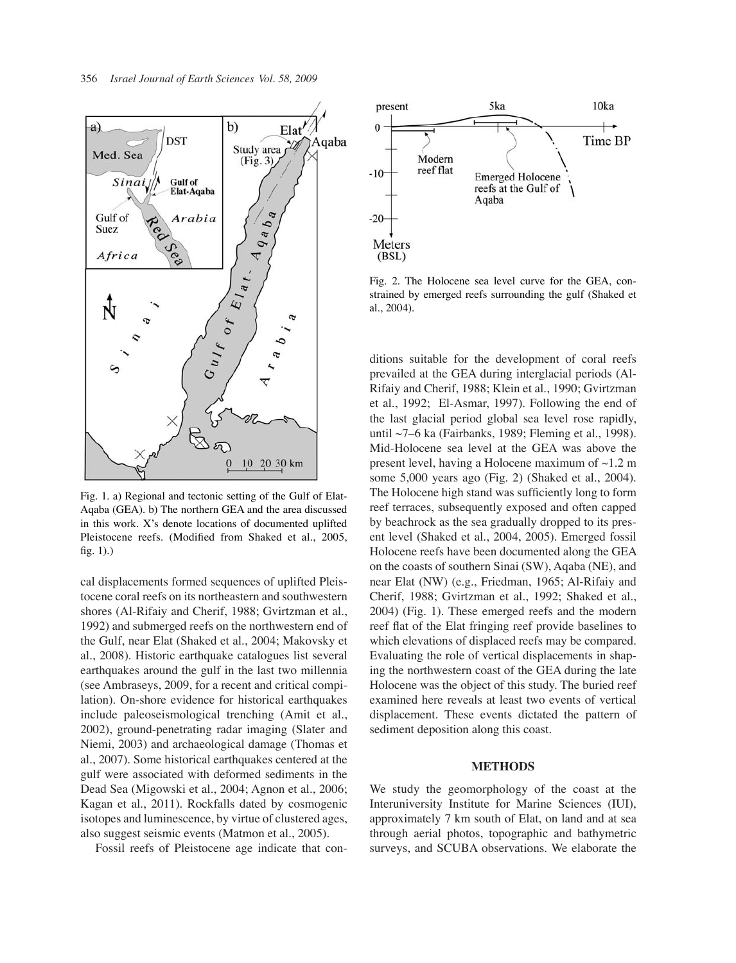

Fig. 1. a) Regional and tectonic setting of the Gulf of Elat-Aqaba (GEA). b) The northern GEA and the area discussed in this work. X's denote locations of documented uplifted Pleistocene reefs. (Modified from Shaked et al., 2005, fig. 1).)

cal displacements formed sequences of uplifted Pleistocene coral reefs on its northeastern and southwestern shores (Al-Rifaiy and Cherif, 1988; Gvirtzman et al., 1992) and submerged reefs on the northwestern end of the Gulf, near Elat (Shaked et al., 2004; Makovsky et al., 2008). Historic earthquake catalogues list several earthquakes around the gulf in the last two millennia (see Ambraseys, 2009, for a recent and critical compilation). On-shore evidence for historical earthquakes include paleoseismological trenching (Amit et al., 2002), ground-penetrating radar imaging (Slater and Niemi, 2003) and archaeological damage (Thomas et al., 2007). Some historical earthquakes centered at the gulf were associated with deformed sediments in the Dead Sea (Migowski et al., 2004; Agnon et al., 2006; Kagan et al., 2011). Rockfalls dated by cosmogenic isotopes and luminescence, by virtue of clustered ages, also suggest seismic events (Matmon et al., 2005).

Fossil reefs of Pleistocene age indicate that con-



Fig. 2. The Holocene sea level curve for the GEA, constrained by emerged reefs surrounding the gulf (Shaked et al., 2004).

ditions suitable for the development of coral reefs prevailed at the GEA during interglacial periods (Al-Rifaiy and Cherif, 1988; Klein et al., 1990; Gvirtzman et al., 1992; El-Asmar, 1997). Following the end of the last glacial period global sea level rose rapidly, until ~7–6 ka (Fairbanks, 1989; Fleming et al., 1998). Mid-Holocene sea level at the GEA was above the present level, having a Holocene maximum of ~1.2 m some 5,000 years ago (Fig. 2) (Shaked et al., 2004). The Holocene high stand was sufficiently long to form reef terraces, subsequently exposed and often capped by beachrock as the sea gradually dropped to its present level (Shaked et al., 2004, 2005). Emerged fossil Holocene reefs have been documented along the GEA on the coasts of southern Sinai (SW), Aqaba (NE), and near Elat (NW) (e.g., Friedman, 1965; Al-Rifaiy and Cherif, 1988; Gvirtzman et al., 1992; Shaked et al., 2004) (Fig. 1). These emerged reefs and the modern reef flat of the Elat fringing reef provide baselines to which elevations of displaced reefs may be compared. Evaluating the role of vertical displacements in shaping the northwestern coast of the GEA during the late Holocene was the object of this study. The buried reef examined here reveals at least two events of vertical displacement. These events dictated the pattern of sediment deposition along this coast.

### **METHODS**

We study the geomorphology of the coast at the Interuniversity Institute for Marine Sciences (IUI), approximately 7 km south of Elat, on land and at sea through aerial photos, topographic and bathymetric surveys, and SCUBA observations. We elaborate the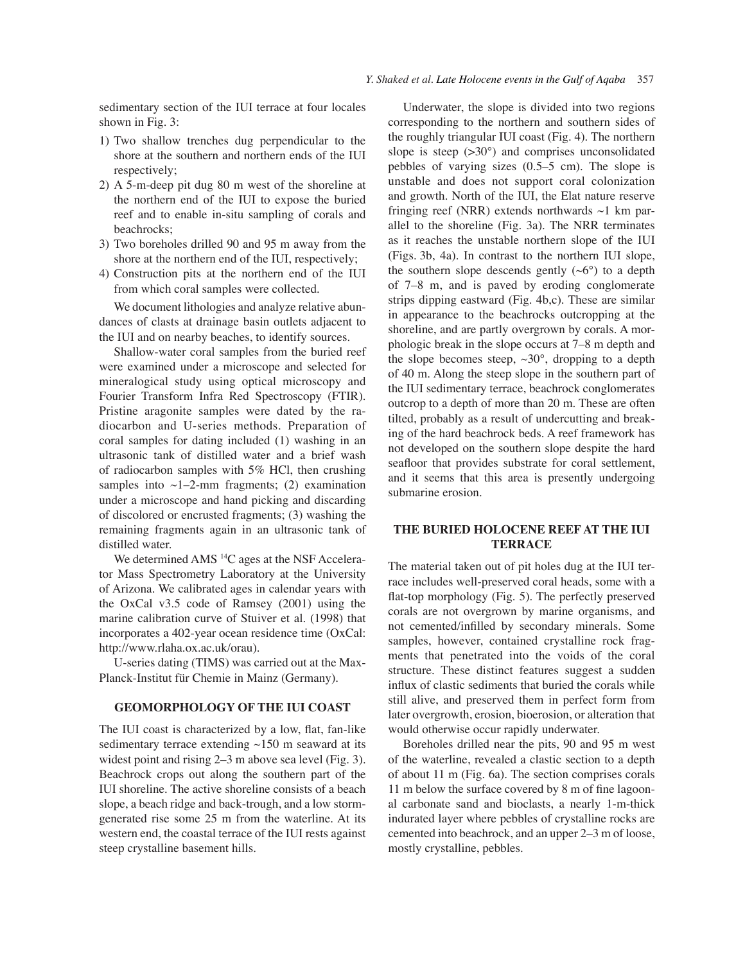sedimentary section of the IUI terrace at four locales shown in Fig. 3:

- 1) Two shallow trenches dug perpendicular to the shore at the southern and northern ends of the IUI respectively:
- 2) A 5-m-deep pit dug 80 m west of the shoreline at the northern end of the IUI to expose the buried reef and to enable in-situ sampling of corals and beachrocks;
- 3) Two boreholes drilled 90 and 95 m away from the shore at the northern end of the IUI, respectively;
- 4) Construction pits at the northern end of the IUI from which coral samples were collected.

We document lithologies and analyze relative abundances of clasts at drainage basin outlets adjacent to the IUI and on nearby beaches, to identify sources.

Shallow-water coral samples from the buried reef were examined under a microscope and selected for mineralogical study using optical microscopy and Fourier Transform Infra Red Spectroscopy (FTIR). Pristine aragonite samples were dated by the radiocarbon and U-series methods. Preparation of coral samples for dating included (1) washing in an ultrasonic tank of distilled water and a brief wash of radiocarbon samples with 5% HCl, then crushing samples into  $\sim$ 1–2-mm fragments; (2) examination under a microscope and hand picking and discarding of discolored or encrusted fragments; (3) washing the remaining fragments again in an ultrasonic tank of distilled water.

We determined AMS<sup>14</sup>C ages at the NSF Accelerator Mass Spectrometry Laboratory at the University of Arizona. We calibrated ages in calendar years with the OxCal v3.5 code of Ramsey (2001) using the marine calibration curve of Stuiver et al. (1998) that incorporates a 402-year ocean residence time (OxCal: http://www.rlaha.ox.ac.uk/orau).

U-series dating (TIMS) was carried out at the Max-Planck-Institut für Chemie in Mainz (Germany).

# **GEOMORPHOLOGY OF THE IUI COAST**

The IUI coast is characterized by a low, flat, fan-like sedimentary terrace extending  $\sim$ 150 m seaward at its widest point and rising 2–3 m above sea level (Fig. 3). Beachrock crops out along the southern part of the IUI shoreline. The active shoreline consists of a beach slope, a beach ridge and back-trough, and a low stormgenerated rise some 25 m from the waterline. At its western end, the coastal terrace of the IUI rests against steep crystalline basement hills.

Underwater, the slope is divided into two regions corresponding to the northern and southern sides of the roughly triangular IUI coast (Fig. 4). The northern slope is steep  $(>30^{\circ})$  and comprises unconsolidated pebbles of varying sizes (0.5–5 cm). The slope is unstable and does not support coral colonization and growth. North of the IUI, the Elat nature reserve fringing reef (NRR) extends northwards  $\sim$ 1 km parallel to the shoreline (Fig. 3a). The NRR terminates as it reaches the unstable northern slope of the IUI (Figs. 3b, 4a). In contrast to the northern IUI slope, the southern slope descends gently  $({\sim}6^{\circ})$  to a depth of 7–8 m, and is paved by eroding conglomerate strips dipping eastward (Fig. 4b,c). These are similar in appearance to the beachrocks outcropping at the shoreline, and are partly overgrown by corals. A morphologic break in the slope occurs at 7–8 m depth and the slope becomes steep,  $\sim 30^{\circ}$ , dropping to a depth of 40 m. Along the steep slope in the southern part of the IUI sedimentary terrace, beachrock conglomerates outcrop to a depth of more than 20 m. These are often tilted, probably as a result of undercutting and breaking of the hard beachrock beds. A reef framework has not developed on the southern slope despite the hard seafloor that provides substrate for coral settlement, and it seems that this area is presently undergoing submarine erosion.

# **THE BURIED HOLOCENE REEF AT THE IUI TERRACE**

The material taken out of pit holes dug at the IUI terrace includes well-preserved coral heads, some with a flat-top morphology (Fig. 5). The perfectly preserved corals are not overgrown by marine organisms, and not cemented/infilled by secondary minerals. Some samples, however, contained crystalline rock fragments that penetrated into the voids of the coral structure. These distinct features suggest a sudden influx of clastic sediments that buried the corals while still alive, and preserved them in perfect form from later overgrowth, erosion, bioerosion, or alteration that would otherwise occur rapidly underwater.

Boreholes drilled near the pits, 90 and 95 m west of the waterline, revealed a clastic section to a depth of about 11 m (Fig. 6a). The section comprises corals 11 m below the surface covered by 8 m of fine lagoonal carbonate sand and bioclasts, a nearly 1-m-thick indurated layer where pebbles of crystalline rocks are cemented into beachrock, and an upper 2–3 m of loose, mostly crystalline, pebbles.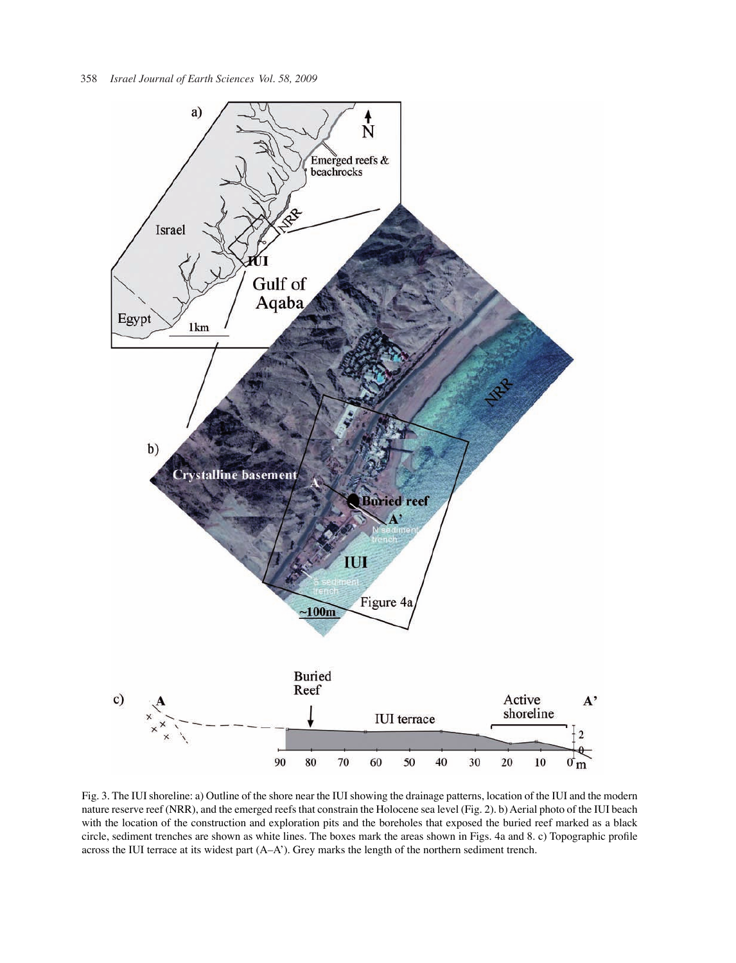

Fig. 3. The IUI shoreline: a) Outline of the shore near the IUI showing the drainage patterns, location of the IUI and the modern nature reserve reef (NRR), and the emerged reefs that constrain the Holocene sea level (Fig. 2). b) Aerial photo of the IUI beach with the location of the construction and exploration pits and the boreholes that exposed the buried reef marked as a black circle, sediment trenches are shown as white lines. The boxes mark the areas shown in Figs. 4a and 8. c) Topographic profile across the IUI terrace at its widest part (A–A'). Grey marks the length of the northern sediment trench.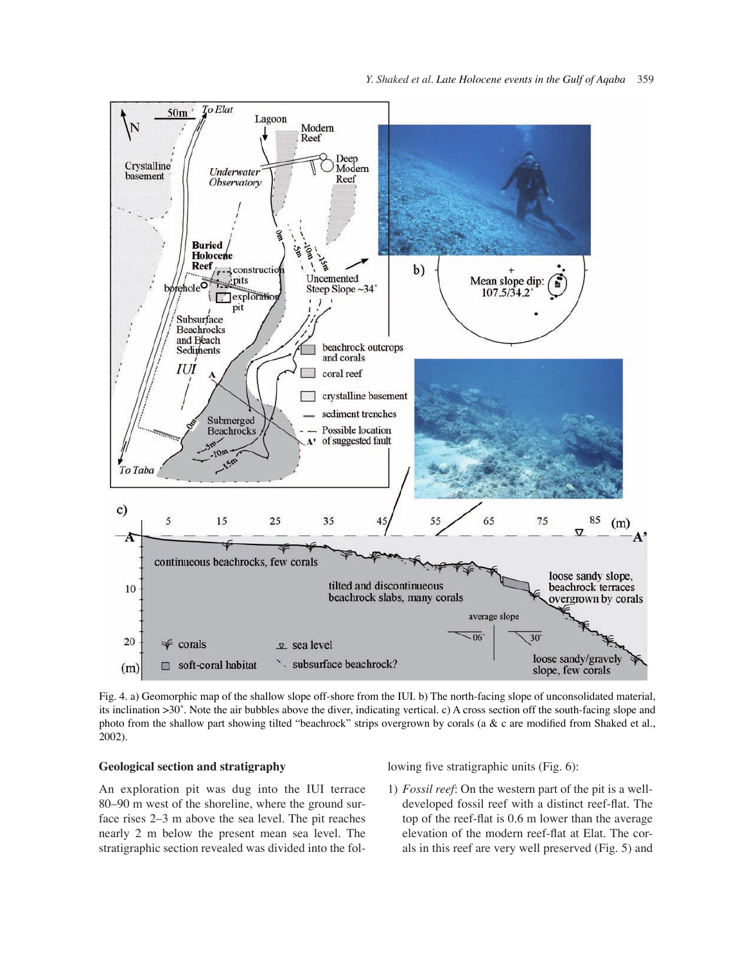

Fig. 4. a) Geomorphic map of the shallow slope off-shore from the IUI. b) The north-facing slope of unconsolidated material, its inclination >30˚. Note the air bubbles above the diver, indicating vertical. c) A cross section off the south-facing slope and photo from the shallow part showing tilted "beachrock" strips overgrown by corals (a & c are modified from Shaked et al., 2002).

# **Geological section and stratigraphy**

An exploration pit was dug into the IUI terrace 80–90 m west of the shoreline, where the ground surface rises 2–3 m above the sea level. The pit reaches nearly 2 m below the present mean sea level. The stratigraphic section revealed was divided into the following five stratigraphic units (Fig. 6):

1) *Fossil reef*: On the western part of the pit is a welldeveloped fossil reef with a distinct reef-flat. The top of the reef-flat is 0.6 m lower than the average elevation of the modern reef-flat at Elat. The corals in this reef are very well preserved (Fig. 5) and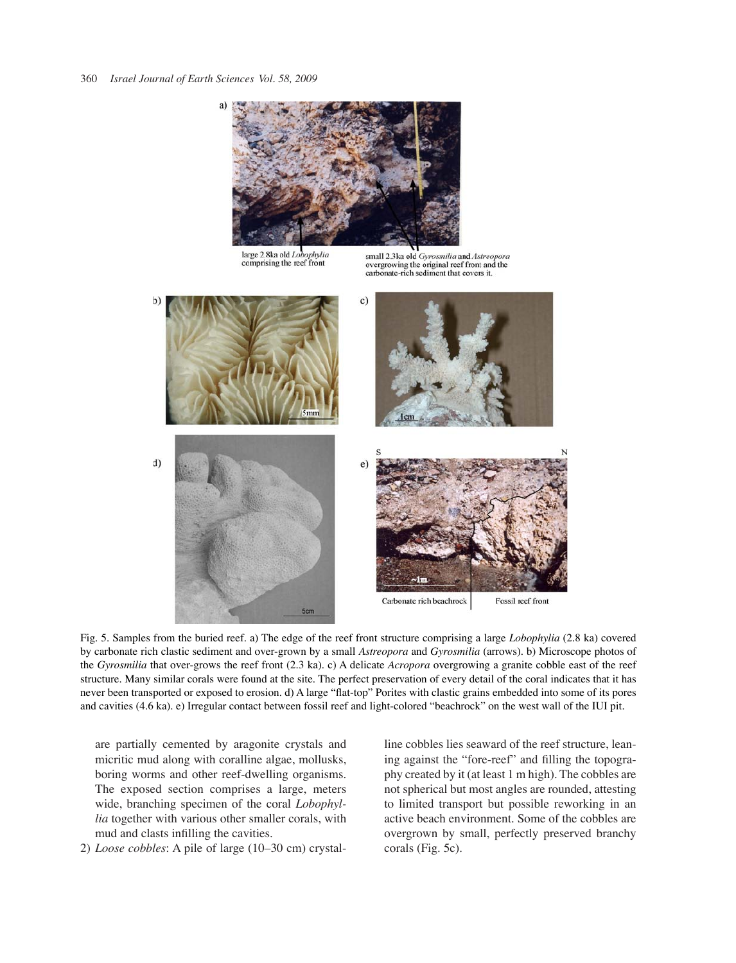

Fig. 5. Samples from the buried reef. a) The edge of the reef front structure comprising a large *Lobophylia* (2.8 ka) covered by carbonate rich clastic sediment and over-grown by a small *Astreopora* and *Gyrosmilia* (arrows). b) Microscope photos of the *Gyrosmilia* that over-grows the reef front (2.3 ka). c) A delicate *Acropora* overgrowing a granite cobble east of the reef structure. Many similar corals were found at the site. The perfect preservation of every detail of the coral indicates that it has never been transported or exposed to erosion. d) A large "flat-top" Porites with clastic grains embedded into some of its pores and cavities (4.6 ka). e) Irregular contact between fossil reef and light-colored "beachrock" on the west wall of the IUI pit.

are partially cemented by aragonite crystals and micritic mud along with coralline algae, mollusks, boring worms and other reef-dwelling organisms. The exposed section comprises a large, meters wide, branching specimen of the coral *Lobophyllia* together with various other smaller corals, with mud and clasts infilling the cavities.

2) *Loose cobbles*: A pile of large (10–30 cm) crystal-

line cobbles lies seaward of the reef structure, leaning against the "fore-reef" and filling the topography created by it (at least 1 m high). The cobbles are not spherical but most angles are rounded, attesting to limited transport but possible reworking in an active beach environment. Some of the cobbles are overgrown by small, perfectly preserved branchy corals (Fig. 5c).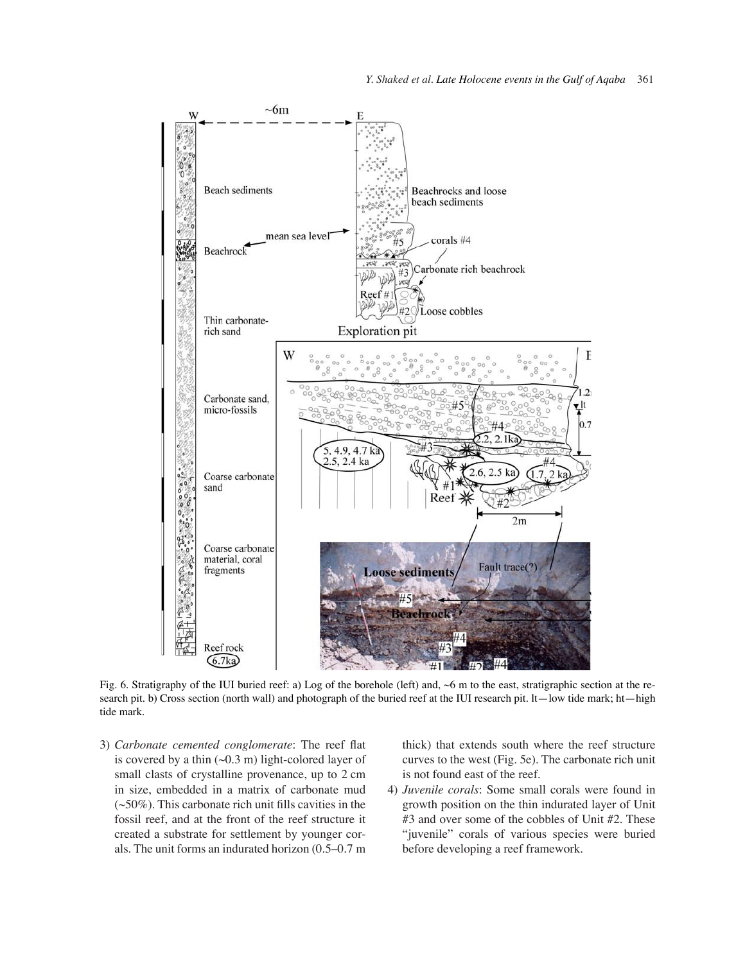

Fig. 6. Stratigraphy of the IUI buried reef: a) Log of the borehole (left) and,  $\sim$ 6 m to the east, stratigraphic section at the research pit. b) Cross section (north wall) and photograph of the buried reef at the IUI research pit. It—low tide mark; ht—high tide mark.

3) *Carbonate cemented conglomerate*: The reef flat is covered by a thin  $(\sim 0.3 \text{ m})$  light-colored layer of small clasts of crystalline provenance, up to 2 cm in size, embedded in a matrix of carbonate mud  $(-50\%)$ . This carbonate rich unit fills cavities in the fossil reef, and at the front of the reef structure it created a substrate for settlement by younger corals. The unit forms an indurated horizon (0.5–0.7 m thick) that extends south where the reef structure curves to the west (Fig. 5e). The carbonate rich unit is not found east of the reef.

4) *Juvenile corals*: Some small corals were found in growth position on the thin indurated layer of Unit #3 and over some of the cobbles of Unit #2. These "juvenile" corals of various species were buried before developing a reef framework.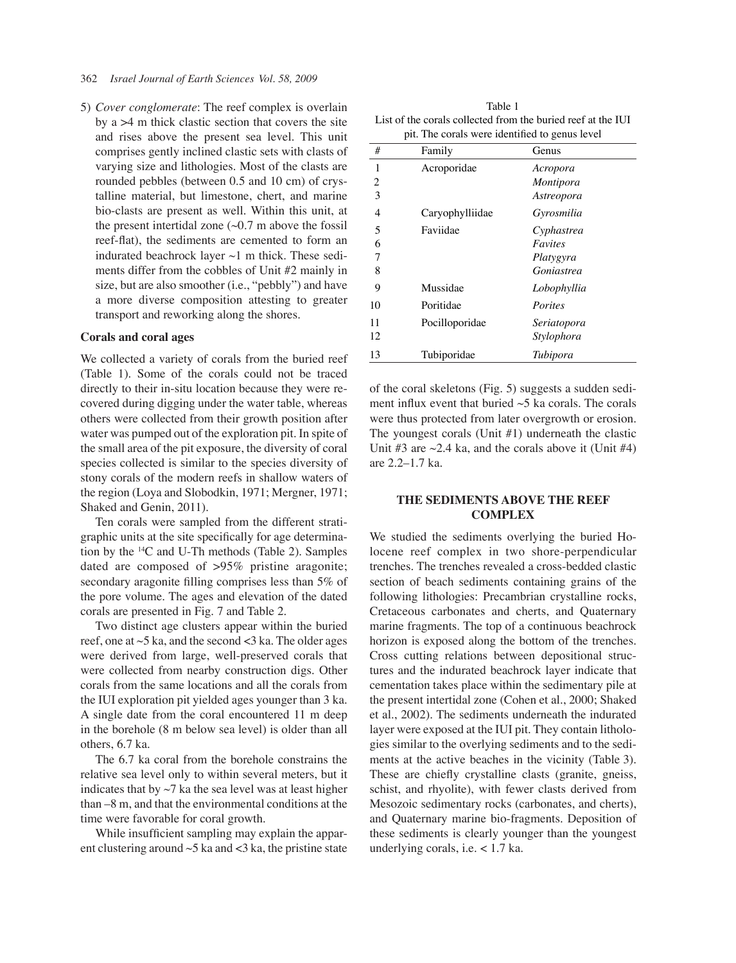#### 362 *Israel Journal of Earth Sciences Vol. 58, 2009*

5) *Cover conglomerate*: The reef complex is overlain by  $a > 4$  m thick clastic section that covers the site and rises above the present sea level. This unit comprises gently inclined clastic sets with clasts of varying size and lithologies. Most of the clasts are rounded pebbles (between 0.5 and 10 cm) of crystalline material, but limestone, chert, and marine bio-clasts are present as well. Within this unit, at the present intertidal zone  $(\sim 0.7 \text{ m})$  above the fossil reef-flat), the sediments are cemented to form an indurated beachrock layer  $\sim$ 1 m thick. These sediments differ from the cobbles of Unit #2 mainly in size, but are also smoother (i.e., "pebbly") and have a more diverse composition attesting to greater transport and reworking along the shores.

### **Corals and coral ages**

We collected a variety of corals from the buried reef (Table 1). Some of the corals could not be traced directly to their in-situ location because they were recovered during digging under the water table, whereas others were collected from their growth position after water was pumped out of the exploration pit. In spite of the small area of the pit exposure, the diversity of coral species collected is similar to the species diversity of stony corals of the modern reefs in shallow waters of the region (Loya and Slobodkin, 1971; Mergner, 1971; Shaked and Genin, 2011).

Ten corals were sampled from the different stratigraphic units at the site specifically for age determination by the 14C and U-Th methods (Table 2). Samples dated are composed of >95% pristine aragonite; secondary aragonite filling comprises less than 5% of the pore volume. The ages and elevation of the dated corals are presented in Fig. 7 and Table 2.

Two distinct age clusters appear within the buried reef, one at  $\sim$ 5 ka, and the second  $\lt$ 3 ka. The older ages were derived from large, well-preserved corals that were collected from nearby construction digs. Other corals from the same locations and all the corals from the IUI exploration pit yielded ages younger than 3 ka. A single date from the coral encountered 11 m deep in the borehole (8 m below sea level) is older than all others, 6.7 ka.

The 6.7 ka coral from the borehole constrains the relative sea level only to within several meters, but it indicates that by  $\sim$ 7 ka the sea level was at least higher than –8 m, and that the environmental conditions at the time were favorable for coral growth.

While insufficient sampling may explain the apparent clustering around  $\sim$  5 ka and < 3 ka, the pristine state

Table 1 List of the corals collected from the buried reef at the IUI pit. The corals were identified to genus level

| #  | Family          | Genus          |  |
|----|-----------------|----------------|--|
| 1  | Acroporidae     | Acropora       |  |
| 2  |                 | Montipora      |  |
| 3  |                 | Astreopora     |  |
| 4  | Caryophylliidae | Gyrosmilia     |  |
| 5  | Faviidae        | Cyphastrea     |  |
| 6  |                 | <b>Favites</b> |  |
| 7  |                 | Platygyra      |  |
| 8  |                 | Goniastrea     |  |
| 9  | Mussidae        | Lobophyllia    |  |
| 10 | Poritidae       | <b>Porites</b> |  |
| 11 | Pocilloporidae  | Seriatopora    |  |
| 12 |                 | Stylophora     |  |
| 13 | Tubiporidae     | Tubipora       |  |

of the coral skeletons (Fig. 5) suggests a sudden sediment influx event that buried  $\sim$ 5 ka corals. The corals were thus protected from later overgrowth or erosion. The youngest corals (Unit #1) underneath the clastic Unit  $#3$  are  $\sim 2.4$  ka, and the corals above it (Unit  $#4$ ) are 2.2–1.7 ka.

# **THE SEDIMENTS ABOVE THE REEF COMPLEX**

We studied the sediments overlying the buried Holocene reef complex in two shore-perpendicular trenches. The trenches revealed a cross-bedded clastic section of beach sediments containing grains of the following lithologies: Precambrian crystalline rocks, Cretaceous carbonates and cherts, and Quaternary marine fragments. The top of a continuous beachrock horizon is exposed along the bottom of the trenches. Cross cutting relations between depositional structures and the indurated beachrock layer indicate that cementation takes place within the sedimentary pile at the present intertidal zone (Cohen et al., 2000; Shaked et al., 2002). The sediments underneath the indurated layer were exposed at the IUI pit. They contain lithologies similar to the overlying sediments and to the sediments at the active beaches in the vicinity (Table 3). These are chiefly crystalline clasts (granite, gneiss, schist, and rhyolite), with fewer clasts derived from Mesozoic sedimentary rocks (carbonates, and cherts), and Quaternary marine bio-fragments. Deposition of these sediments is clearly younger than the youngest underlying corals, i.e. < 1.7 ka.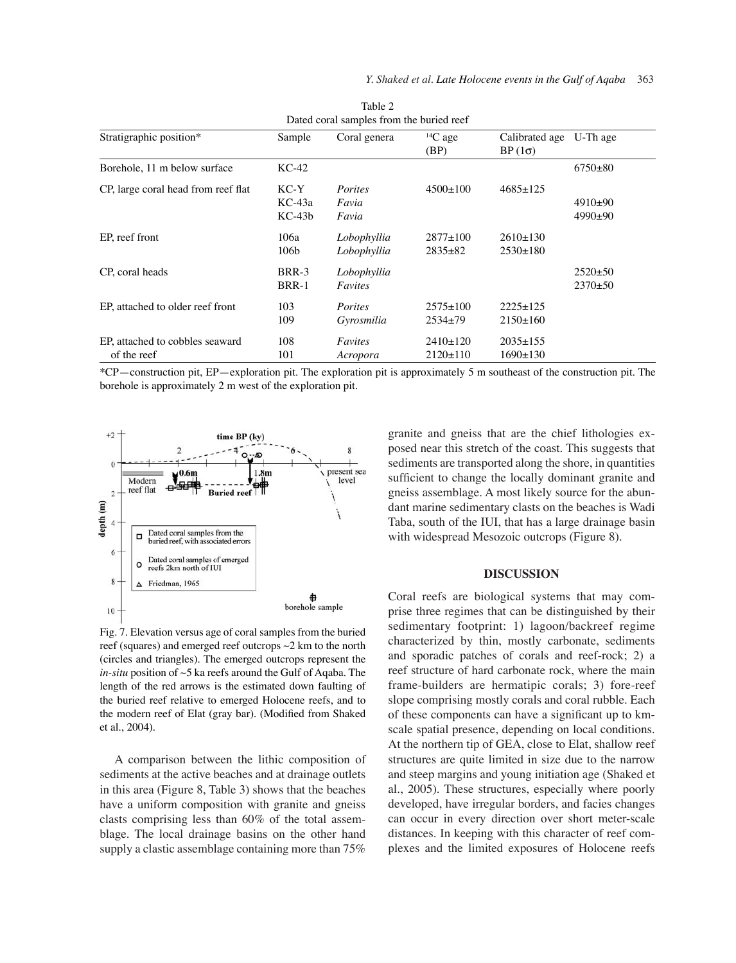| Dated coral samples from the buried reef       |                                |                                  |                                |                                  |                        |  |  |  |  |
|------------------------------------------------|--------------------------------|----------------------------------|--------------------------------|----------------------------------|------------------------|--|--|--|--|
| Stratigraphic position*                        | Sample                         | Coral genera                     | ${}^{14}C$ age<br>(BP)         | Calibrated age<br>$BP(1\sigma)$  | U-Th age               |  |  |  |  |
| Borehole, 11 m below surface                   | $KC-42$                        |                                  |                                |                                  | $6750\pm80$            |  |  |  |  |
| CP, large coral head from reef flat            | $KC-Y$<br>$KC-43a$<br>$KC-43b$ | <i>Porites</i><br>Favia<br>Favia | $4500+100$                     | $4685 \pm 125$                   | $4910+90$<br>$4990+90$ |  |  |  |  |
| EP, reef front                                 | 106a<br>106 <sub>b</sub>       | Lobophyllia<br>Lobophyllia       | $2877+100$<br>$2835+82$        | $2610+130$<br>$2530+180$         |                        |  |  |  |  |
| CP, coral heads                                | BRR-3<br>BRR-1                 | Lobophyllia<br>Favites           |                                |                                  | $2520+50$<br>$2370+50$ |  |  |  |  |
| EP, attached to older reef front               | 103<br>109                     | <i>Porites</i><br>Gyrosmilia     | $2575 \pm 100$<br>$2534+79$    | $2225+125$<br>$2150\pm160$       |                        |  |  |  |  |
| EP, attached to cobbles seaward<br>of the reef | 108<br>101                     | Favites<br>Acropora              | $2410\pm120$<br>$2120 \pm 110$ | $2035 \pm 155$<br>$1690 \pm 130$ |                        |  |  |  |  |

Table 2

\*CP—construction pit, EP—exploration pit. The exploration pit is approximately 5 m southeast of the construction pit. The borehole is approximately 2 m west of the exploration pit.



Fig. 7. Elevation versus age of coral samples from the buried reef (squares) and emerged reef outcrops  $\sim$ 2 km to the north (circles and triangles). The emerged outcrops represent the *in-situ* position of ~5 ka reefs around the Gulf of Aqaba. The length of the red arrows is the estimated down faulting of the buried reef relative to emerged Holocene reefs, and to the modern reef of Elat (gray bar). (Modified from Shaked et al., 2004).

A comparison between the lithic composition of sediments at the active beaches and at drainage outlets in this area (Figure 8, Table 3) shows that the beaches have a uniform composition with granite and gneiss clasts comprising less than 60% of the total assemblage. The local drainage basins on the other hand supply a clastic assemblage containing more than 75%

granite and gneiss that are the chief lithologies exposed near this stretch of the coast. This suggests that sediments are transported along the shore, in quantities sufficient to change the locally dominant granite and gneiss assemblage. A most likely source for the abundant marine sedimentary clasts on the beaches is Wadi Taba, south of the IUI, that has a large drainage basin with widespread Mesozoic outcrops (Figure 8).

### **DISCUSSION**

Coral reefs are biological systems that may comprise three regimes that can be distinguished by their sedimentary footprint: 1) lagoon/backreef regime characterized by thin, mostly carbonate, sediments and sporadic patches of corals and reef-rock; 2) a reef structure of hard carbonate rock, where the main frame-builders are hermatipic corals; 3) fore-reef slope comprising mostly corals and coral rubble. Each of these components can have a significant up to kmscale spatial presence, depending on local conditions. At the northern tip of GEA, close to Elat, shallow reef structures are quite limited in size due to the narrow and steep margins and young initiation age (Shaked et al., 2005). These structures, especially where poorly developed, have irregular borders, and facies changes can occur in every direction over short meter-scale distances. In keeping with this character of reef complexes and the limited exposures of Holocene reefs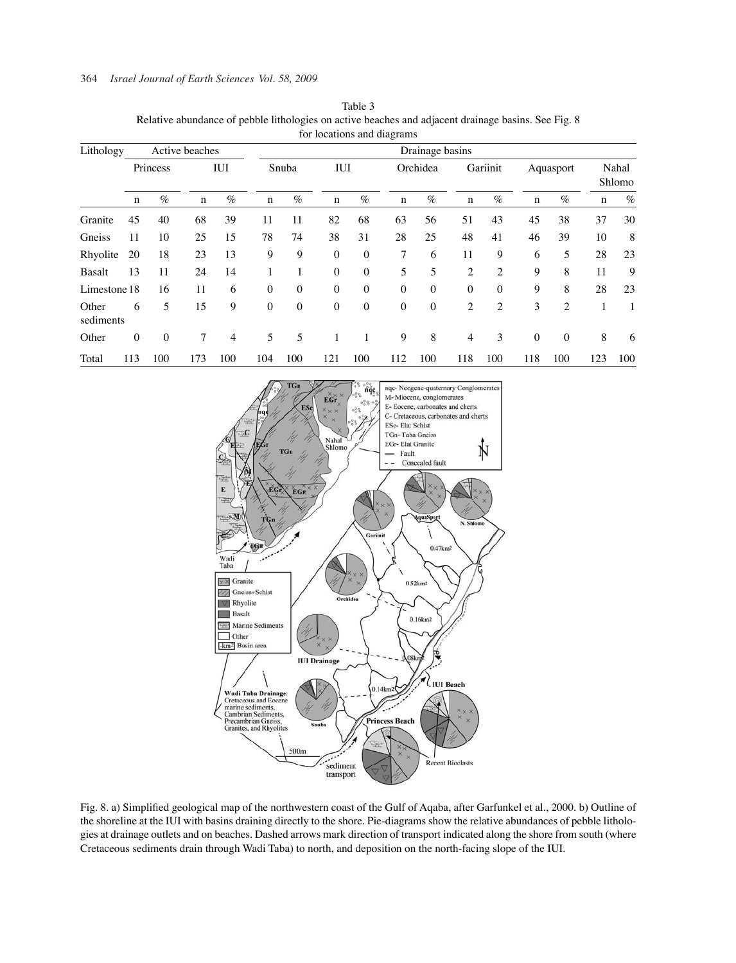Table 3 Relative abundance of pebble lithologies on active beaches and adjacent drainage basins. See Fig. 8 for locations and diagrams

| Lithology          |             | Active beaches |             |      |                  | Drainage basins |              |              |              |              |                |                |             |                |             |                 |  |
|--------------------|-------------|----------------|-------------|------|------------------|-----------------|--------------|--------------|--------------|--------------|----------------|----------------|-------------|----------------|-------------|-----------------|--|
|                    |             | Princess       |             | IUI  | Snuba            |                 |              | IUI          |              | Orchidea     |                | Gariinit       |             | Aquasport      |             | Nahal<br>Shlomo |  |
|                    | $\mathbf n$ | $\%$           | $\mathbf n$ | $\%$ | $\mathbf n$      | $\%$            | $\mathbf n$  | $\%$         | $\mathbf n$  | $\%$         | $\mathbf n$    | $\%$           | $\mathbf n$ | $\%$           | $\mathbf n$ | $\%$            |  |
| Granite            | 45          | 40             | 68          | 39   | 11               | 11              | 82           | 68           | 63           | 56           | 51             | 43             | 45          | 38             | 37          | 30              |  |
| Gneiss             | 11          | 10             | 25          | 15   | 78               | 74              | 38           | 31           | 28           | 25           | 48             | 41             | 46          | 39             | 10          | 8               |  |
| Rhyolite           | 20          | 18             | 23          | 13   | 9                | 9               | $\mathbf{0}$ | $\mathbf{0}$ | 7            | 6            | 11             | 9              | 6           | 5              | 28          | 23              |  |
| <b>Basalt</b>      | 13          | 11             | 24          | 14   |                  |                 | $\mathbf{0}$ | $\theta$     | 5            | 5            | $\overline{2}$ | 2              | 9           | 8              | 11          | 9               |  |
| Limestone 18       |             | 16             | 11          | 6    | $\boldsymbol{0}$ | $\Omega$        | $\mathbf{0}$ | $\theta$     | $\theta$     | $\Omega$     | $\theta$       | $\mathbf{0}$   | 9           | 8              | 28          | 23              |  |
| Other<br>sediments | 6           | 5              | 15          | 9    | $\theta$         | $\Omega$        | $\mathbf{0}$ | $\theta$     | $\mathbf{0}$ | $\mathbf{0}$ | $\overline{2}$ | $\overline{2}$ | 3           | $\overline{2}$ | 1           | $\mathbf{1}$    |  |
| Other              | $\Omega$    | $\Omega$       | 7           | 4    | 5                | 5               |              | 1            | 9            | 8            | 4              | 3              | $\Omega$    | $\Omega$       | 8           | 6               |  |
| Total              | 113         | 100            | 173         | 100  | 104              | 100             | 121          | 100          | 112          | 100          | 118            | 100            | 118         | 100            | 123         | 100             |  |



Fig. 8. a) Simplified geological map of the northwestern coast of the Gulf of Aqaba, after Garfunkel et al., 2000. b) Outline of the shoreline at the IUI with basins draining directly to the shore. Pie-diagrams show the relative abundances of pebble lithologies at drainage outlets and on beaches. Dashed arrows mark direction of transport indicated along the shore from south (where Cretaceous sediments drain through Wadi Taba) to north, and deposition on the north-facing slope of the IUI.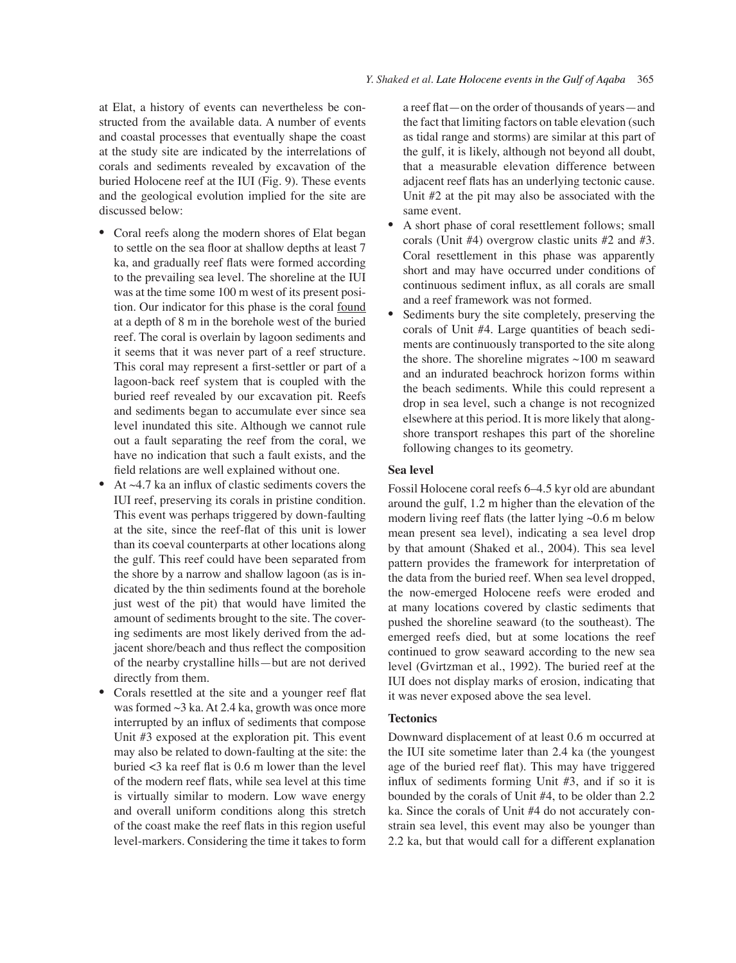at Elat, a history of events can nevertheless be constructed from the available data. A number of events and coastal processes that eventually shape the coast at the study site are indicated by the interrelations of corals and sediments revealed by excavation of the buried Holocene reef at the IUI (Fig. 9). These events and the geological evolution implied for the site are discussed below:

- Coral reefs along the modern shores of Elat began to settle on the sea floor at shallow depths at least 7 ka, and gradually reef flats were formed according to the prevailing sea level. The shoreline at the IUI was at the time some 100 m west of its present position. Our indicator for this phase is the coral found at a depth of 8 m in the borehole west of the buried reef. The coral is overlain by lagoon sediments and it seems that it was never part of a reef structure. This coral may represent a first-settler or part of a lagoon-back reef system that is coupled with the buried reef revealed by our excavation pit. Reefs and sediments began to accumulate ever since sea level inundated this site. Although we cannot rule out a fault separating the reef from the coral, we have no indication that such a fault exists, and the field relations are well explained without one.
- At  $~4.7$  ka an influx of clastic sediments covers the IUI reef, preserving its corals in pristine condition. This event was perhaps triggered by down-faulting at the site, since the reef-flat of this unit is lower than its coeval counterparts at other locations along the gulf. This reef could have been separated from the shore by a narrow and shallow lagoon (as is indicated by the thin sediments found at the borehole just west of the pit) that would have limited the amount of sediments brought to the site. The covering sediments are most likely derived from the adjacent shore/beach and thus reflect the composition of the nearby crystalline hills—but are not derived directly from them.
- Corals resettled at the site and a younger reef flat was formed ~3 ka. At 2.4 ka, growth was once more interrupted by an influx of sediments that compose Unit #3 exposed at the exploration pit. This event may also be related to down-faulting at the site: the buried  $\langle 3 \rangle$  ka reef flat is 0.6 m lower than the level of the modern reef flats, while sea level at this time is virtually similar to modern. Low wave energy and overall uniform conditions along this stretch of the coast make the reef flats in this region useful level-markers. Considering the time it takes to form

a reef flat—on the order of thousands of years—and the fact that limiting factors on table elevation (such as tidal range and storms) are similar at this part of the gulf, it is likely, although not beyond all doubt, that a measurable elevation difference between adjacent reef flats has an underlying tectonic cause. Unit #2 at the pit may also be associated with the same event.

- A short phase of coral resettlement follows; small corals (Unit #4) overgrow clastic units #2 and #3. Coral resettlement in this phase was apparently short and may have occurred under conditions of continuous sediment influx, as all corals are small and a reef framework was not formed.
- Sediments bury the site completely, preserving the corals of Unit #4. Large quantities of beach sediments are continuously transported to the site along the shore. The shoreline migrates  $\sim$ 100 m seaward and an indurated beachrock horizon forms within the beach sediments. While this could represent a drop in sea level, such a change is not recognized elsewhere at this period. It is more likely that alongshore transport reshapes this part of the shoreline following changes to its geometry.

# **Sea level**

Fossil Holocene coral reefs 6–4.5 kyr old are abundant around the gulf, 1.2 m higher than the elevation of the modern living reef flats (the latter lying  $\sim 0.6$  m below mean present sea level), indicating a sea level drop by that amount (Shaked et al., 2004). This sea level pattern provides the framework for interpretation of the data from the buried reef. When sea level dropped, the now-emerged Holocene reefs were eroded and at many locations covered by clastic sediments that pushed the shoreline seaward (to the southeast). The emerged reefs died, but at some locations the reef continued to grow seaward according to the new sea level (Gvirtzman et al., 1992). The buried reef at the IUI does not display marks of erosion, indicating that it was never exposed above the sea level.

### **Tectonics**

Downward displacement of at least 0.6 m occurred at the IUI site sometime later than 2.4 ka (the youngest age of the buried reef flat). This may have triggered influx of sediments forming Unit #3, and if so it is bounded by the corals of Unit #4, to be older than 2.2 ka. Since the corals of Unit #4 do not accurately constrain sea level, this event may also be younger than 2.2 ka, but that would call for a different explanation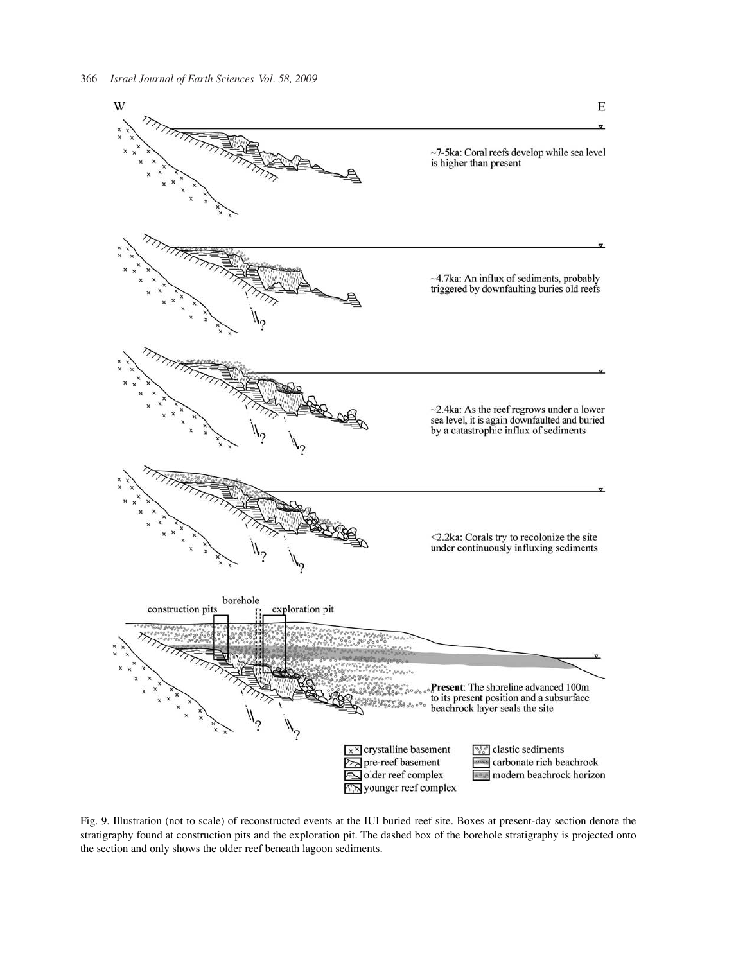

Fig. 9. Illustration (not to scale) of reconstructed events at the IUI buried reef site. Boxes at present-day section denote the stratigraphy found at construction pits and the exploration pit. The dashed box of the borehole stratigraphy is projected onto the section and only shows the older reef beneath lagoon sediments.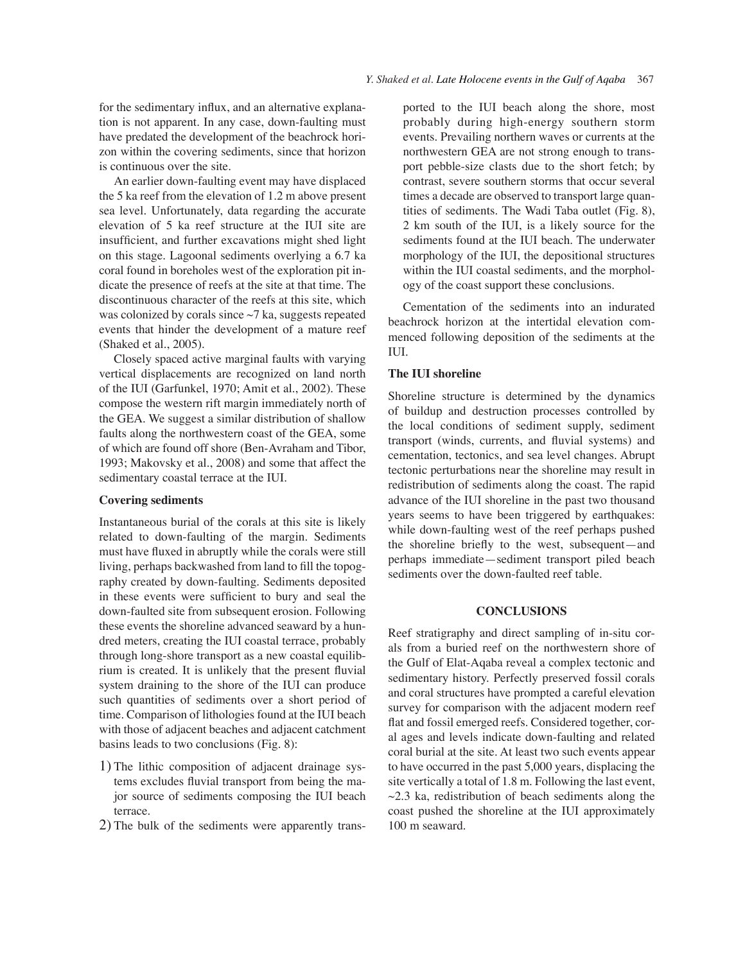for the sedimentary influx, and an alternative explanation is not apparent. In any case, down-faulting must have predated the development of the beachrock horizon within the covering sediments, since that horizon is continuous over the site.

An earlier down-faulting event may have displaced the 5 ka reef from the elevation of 1.2 m above present sea level. Unfortunately, data regarding the accurate elevation of 5 ka reef structure at the IUI site are insufficient, and further excavations might shed light on this stage. Lagoonal sediments overlying a 6.7 ka coral found in boreholes west of the exploration pit indicate the presence of reefs at the site at that time. The discontinuous character of the reefs at this site, which was colonized by corals since  $\sim$ 7 ka, suggests repeated events that hinder the development of a mature reef (Shaked et al., 2005).

Closely spaced active marginal faults with varying vertical displacements are recognized on land north of the IUI (Garfunkel, 1970; Amit et al., 2002). These compose the western rift margin immediately north of the GEA. We suggest a similar distribution of shallow faults along the northwestern coast of the GEA, some of which are found off shore (Ben-Avraham and Tibor, 1993; Makovsky et al., 2008) and some that affect the sedimentary coastal terrace at the IUI.

### **Covering sediments**

Instantaneous burial of the corals at this site is likely related to down-faulting of the margin. Sediments must have fluxed in abruptly while the corals were still living, perhaps backwashed from land to fill the topography created by down-faulting. Sediments deposited in these events were sufficient to bury and seal the down-faulted site from subsequent erosion. Following these events the shoreline advanced seaward by a hundred meters, creating the IUI coastal terrace, probably through long-shore transport as a new coastal equilibrium is created. It is unlikely that the present fluvial system draining to the shore of the IUI can produce such quantities of sediments over a short period of time. Comparison of lithologies found at the IUI beach with those of adjacent beaches and adjacent catchment basins leads to two conclusions (Fig. 8):

- 1) The lithic composition of adjacent drainage systems excludes fluvial transport from being the major source of sediments composing the IUI beach terrace.
- 2) The bulk of the sediments were apparently trans-

ported to the IUI beach along the shore, most probably during high-energy southern storm events. Prevailing northern waves or currents at the northwestern GEA are not strong enough to transport pebble-size clasts due to the short fetch; by contrast, severe southern storms that occur several times a decade are observed to transport large quantities of sediments. The Wadi Taba outlet (Fig. 8), 2 km south of the IUI, is a likely source for the sediments found at the IUI beach. The underwater morphology of the IUI, the depositional structures within the IUI coastal sediments, and the morphology of the coast support these conclusions.

Cementation of the sediments into an indurated beachrock horizon at the intertidal elevation commenced following deposition of the sediments at the IUI.

# **The IUI shoreline**

Shoreline structure is determined by the dynamics of buildup and destruction processes controlled by the local conditions of sediment supply, sediment transport (winds, currents, and fluvial systems) and cementation, tectonics, and sea level changes. Abrupt tectonic perturbations near the shoreline may result in redistribution of sediments along the coast. The rapid advance of the IUI shoreline in the past two thousand years seems to have been triggered by earthquakes: while down-faulting west of the reef perhaps pushed the shoreline briefly to the west, subsequent—and perhaps immediate—sediment transport piled beach sediments over the down-faulted reef table.

### **CONCLUSIONS**

Reef stratigraphy and direct sampling of in-situ corals from a buried reef on the northwestern shore of the Gulf of Elat-Aqaba reveal a complex tectonic and sedimentary history. Perfectly preserved fossil corals and coral structures have prompted a careful elevation survey for comparison with the adjacent modern reef flat and fossil emerged reefs. Considered together, coral ages and levels indicate down-faulting and related coral burial at the site. At least two such events appear to have occurred in the past 5,000 years, displacing the site vertically a total of 1.8 m. Following the last event,  $\sim$ 2.3 ka, redistribution of beach sediments along the coast pushed the shoreline at the IUI approximately 100 m seaward.